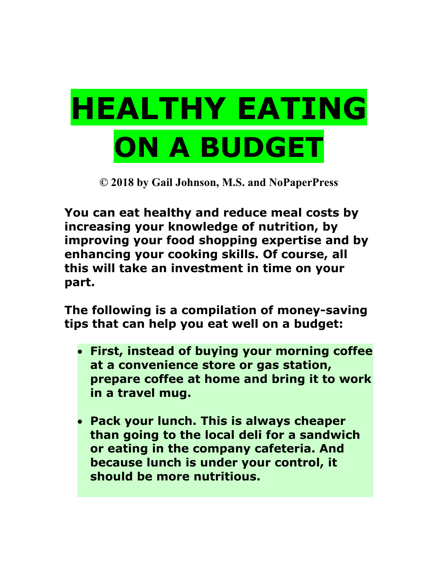## **HEALTHY EATING ON A BUDGET**

**© 2018 by Gail Johnson, M.S. and NoPaperPress**

**You can eat healthy and reduce meal costs by increasing your knowledge of nutrition, by improving your food shopping expertise and by enhancing your cooking skills. Of course, all this will take an investment in time on your part.** 

**The following is a compilation of money-saving tips that can help you eat well on a budget:**

- **First, instead of buying your morning coffee at a convenience store or gas station, prepare coffee at home and bring it to work in a travel mug.**
- **Pack your lunch. This is always cheaper than going to the local deli for a sandwich or eating in the company cafeteria. And because lunch is under your control, it should be more nutritious.**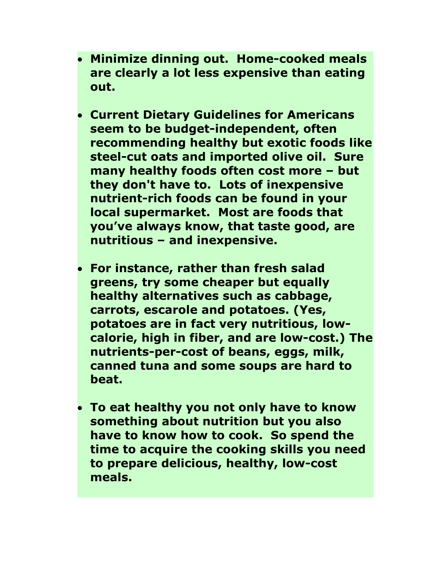- **Minimize dinning out. Home-cooked meals are clearly a lot less expensive than eating out.**
- **Current Dietary Guidelines for Americans seem to be budget-independent, often recommending healthy but exotic foods like steel-cut oats and imported olive oil. Sure many healthy foods often cost more – but they don't have to. Lots of inexpensive nutrient-rich foods can be found in your local supermarket. Most are foods that you've always know, that taste good, are nutritious – and inexpensive.**
- **For instance, rather than fresh salad greens, try some cheaper but equally healthy alternatives such as cabbage, carrots, escarole and potatoes. (Yes, potatoes are in fact very nutritious, lowcalorie, high in fiber, and are low-cost.) The nutrients-per-cost of beans, eggs, milk, canned tuna and some soups are hard to beat.**
- **To eat healthy you not only have to know something about nutrition but you also have to know how to cook. So spend the time to acquire the cooking skills you need to prepare delicious, healthy, low-cost meals.**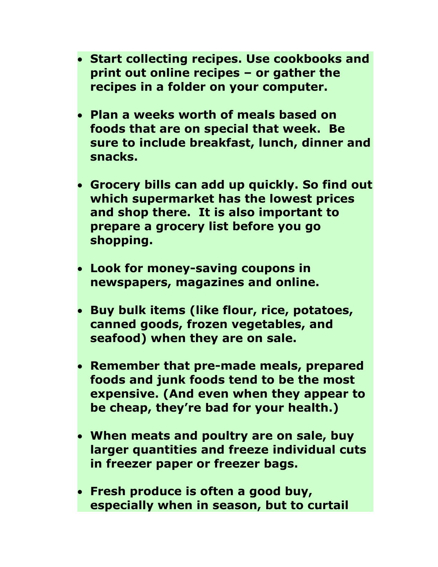- **Start collecting recipes. Use cookbooks and print out online recipes – or gather the recipes in a folder on your computer.**
- **Plan a weeks worth of meals based on foods that are on special that week. Be sure to include breakfast, lunch, dinner and snacks.**
- **Grocery bills can add up quickly. So find out which supermarket has the lowest prices and shop there. It is also important to prepare a grocery list before you go shopping.**
- **Look for money-saving coupons in newspapers, magazines and online.**
- **Buy bulk items (like flour, rice, potatoes, canned goods, frozen vegetables, and seafood) when they are on sale.**
- **Remember that pre-made meals, prepared foods and junk foods tend to be the most expensive. (And even when they appear to be cheap, they're bad for your health.)**
- **When meats and poultry are on sale, buy larger quantities and freeze individual cuts in freezer paper or freezer bags.**
- **Fresh produce is often a good buy, especially when in season, but to curtail**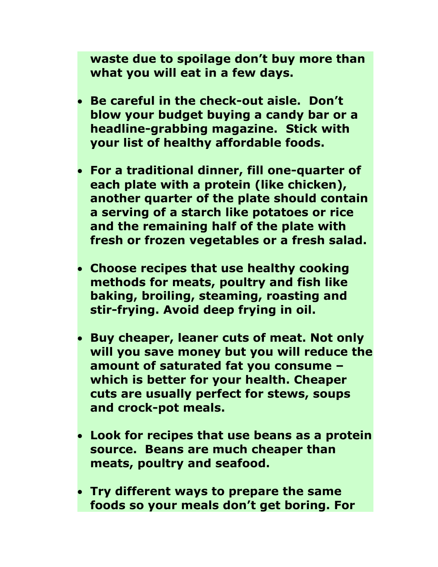**waste due to spoilage don't buy more than what you will eat in a few days.**

- **Be careful in the check-out aisle. Don't blow your budget buying a candy bar or a headline-grabbing magazine. Stick with your list of healthy affordable foods.**
- **For a traditional dinner, fill one-quarter of each plate with a protein (like chicken), another quarter of the plate should contain a serving of a starch like potatoes or rice and the remaining half of the plate with fresh or frozen vegetables or a fresh salad.**
- **Choose recipes that use healthy cooking methods for meats, poultry and fish like baking, broiling, steaming, roasting and stir-frying. Avoid deep frying in oil.**
- **Buy cheaper, leaner cuts of meat. Not only will you save money but you will reduce the amount of saturated fat you consume – which is better for your health. Cheaper cuts are usually perfect for stews, soups and crock-pot meals.**
- **Look for recipes that use beans as a protein source. Beans are much cheaper than meats, poultry and seafood.**
- **Try different ways to prepare the same foods so your meals don't get boring. For**